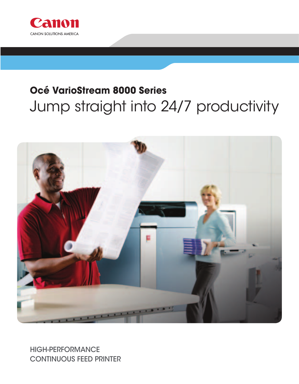

# **Océ VarioStream 8000 Series** Jump straight into 24/7 productivity



HIGH-PERFORMANCE CONTINUOUS FEED PRINTER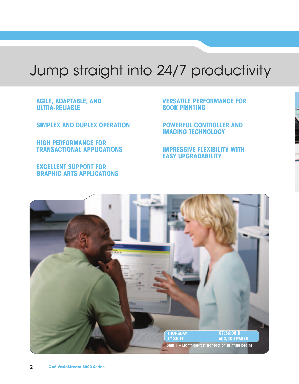# Jump straight into 24/7 productivity

**AGILE, ADAPTABLE, AND ULTRA-RELIABLE**

**SIMPLEX AND DUPLEX OPERATION**

**HIGH PERFORMANCE FOR TRANSACTIONAL APPLICATIONS**

**EXCELLENT SUPPORT FOR GRAPHIC ARTS APPLICATIONS** **VERSATILE PERFORMANCE FOR BOOK PRINTING**

**POWERFUL CONTROLLER AND IMAGING TECHNOLOGY**

**IMPRESSIVE FLEXIBILITY WITH EASY UPGRADABILITY**

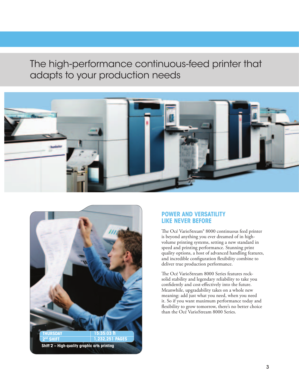# The high-performance continuous-feed printer that adapts to your production needs





# **POWER AND VERSATILITY LIKE NEVER BEFORE**

The Océ VarioStream® 8000 continuous feed printer is beyond anything you ever dreamed of in highvolume printing systems, setting a new standard in speed and printing performance. Stunning print quality options, a host of advanced handling features, and incredible configuration flexibility combine to deliver true production performance.

The Océ VarioStream 8000 Series features rocksolid stability and legendary reliability to take you confidently and cost-effectively into the future. Meanwhile, upgradability takes on a whole new meaning: add just what you need, when you need it. So if you want maximum performance today and flexibility to grow tomorrow, there's no better choice than the Océ VarioStream 8000 Series.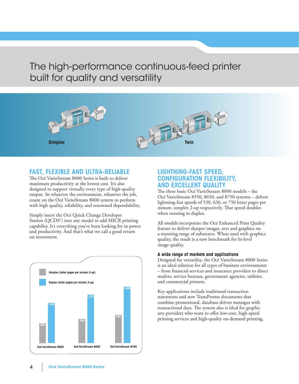# The high-performance continuous-feed printer built for quality and versatility



# **FAST, FLEXIBLE AND ULTRA-RELIABLE**

The Océ VarioStream 8000 Series is built to deliver maximum productivity at the lowest cost. It's also designed to support virtually every type of high-quality output. So whatever the environment, whatever the job, count on the Océ VarioStream 8000 system to perform with high quality, reliability, and renowned dependability.

Simply insert the Océ Quick Change Developer Station (QCDS®) into any model to add MICR printing capability. It's everything you've been looking for in power and productivity. And that's what we call a good return on investment.



## **LIGHTNING-FAST SPEED, CONFIGURATION FLEXIBILITY, AND EXCELLENT QUALITY**

The three basic Océ VarioStream 8000 models – the Océ VarioStream 8550, 8650, and 8750 systems – deliver lightning-fast speeds of 530, 636, or 750 letter pages per minute, simplex 2-up respectively. That speed doubles when running in duplex.

All models incorporate the Océ Enhanced Print Quality feature to deliver sharper images, text and graphics on a stunning range of substrates. When used with graphics quality, the result is a new benchmark for bi-level image quality.

#### **A wide range of markets and applications**

Designed for versatility, the Océ VarioStream 8000 Series is an ideal solution for all types of business environments – from financial services and insurance providers to direct mailers, service bureaus, government agencies, utilities, and commercial printers.

Key applications include traditional transaction statements and new TransPromo documents that combine promotional, database-driven messages with transactional data. The system also is ideal for graphic arts providers who want to offer low-cost, high-speed printing services and high-quality on-demand printing.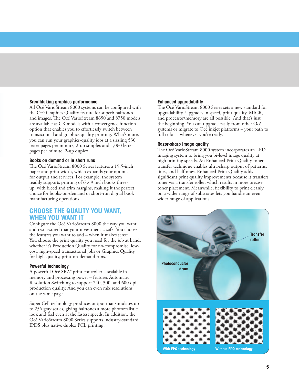#### **Breathtaking graphics performance**

All Océ VarioStream 8000 systems can be configured with the Océ Graphics Quality feature for superb halftones and images. The Océ VarioStream 8650 and 8750 models are available as CX models with a convergence function option that enables you to effortlessly switch between transactional and graphics quality printing. What's more, you can run your graphics-quality jobs at a sizzling 530 letter pages per minute, 2-up simplex and 1,060 letter pages per minute, 2-up duplex.

#### **Books on demand or in short runs**

The Océ VarioStream 8000 Series features a 19.5-inch paper and print width, which expands your options for output and services. For example, the system readily supports printing of  $6 \times 9$  inch books threeup, with bleed and trim margins, making it the perfect choice for books-on-demand or short-run digital book manufacturing operations.

### **CHOOSE THE QUALITY YOU WANT, WHEN YOU WANT IT**

Configure the Océ VarioStream 8000 the way you want, and rest assured that your investment is safe. You choose the features you want to add – when it makes sense. You choose the print quality you need for the job at hand, whether it's Production Quality for no-compromise, lowcost, high-speed transactional jobs or Graphics Quality for high-quality, print-on-demand runs.

#### **Powerful technology**

A powerful Océ SRA® print controller – scalable in memory and processing power – features Automatic Resolution Switching to support 240, 300, and 600 dpi production quality. And you can even mix resolutions on the same page.

Super Cell technology produces output that simulates up to 256 gray scales, giving halftones a more photorealistic look and feel even at the fastest speeds. In addition, the Océ VarioStream 8000 Series supports industry-standard IPDS plus native duplex PCL printing.

#### **Enhanced upgradability**

The Océ VarioStream 8000 Series sets a new standard for upgradability. Upgrades in speed, print quality, MICR, and processor/memory are all possible. And that's just the beginning. You can upgrade easily from other Océ systems or migrate to Océ inkjet platforms – your path to full color – whenever you're ready.

#### **Razor-sharp image quality**

The Océ VarioStream 8000 system incorporates an LED imaging system to bring you bi-level image quality at high printing speeds. An Enhanced Print Quality toner transfer technique enables ultra-sharp output of patterns, lines, and halftones. Enhanced Print Quality adds significant print quality improvements because it transfers toner via a transfer roller, which results in more precise toner placement. Meanwhile, flexibility to print cleanly on a wider range of substrates lets you handle an even wider range of applications.

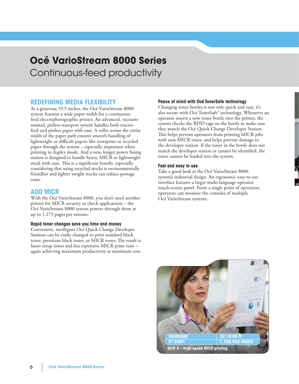# **Océ VarioStream 8000 Series** Continuous-feed productivity

# **REDEFINING MEDIA FLEXIBILITY**

At a generous 19.5 inches, the Océ VarioStream 8000 system features a wide paper width for a continuous feed electrophotographic printer. An advanced, vacuumassisted, pinless transport system handles both tractorfeed and pinless paper with ease. A roller across the entire width of the paper path ensures smooth handling of lightweight or difficult papers like newsprint or recycled paper through the system – especially important when printing in duplex mode. And a new, longer power fusing station is designed to handle heavy, MICR or lightweight stock with ease. This is a significant benefit, especially considering that using recycled stocks is environmentally friendlier and lighter weight stocks can reduce postage costs.

### **ADD MICR**

With the Océ VarioStream 8000, you don't need another printer for MICR security or check applications – the Océ VarioStream 8000 system powers through them at up to 1,273 pages per minute.

#### **Rapid toner changes save you time and money**

Convenient, intelligent Océ Quick Change Developer Stations can be easily changed to print standard black toner, premium black toner, or MICR toner. The result is faster setup times and less expensive MICR print runs – again achieving maximum productivity at minimum cost.

#### **Peace of mind with Océ TonerSafe technology**

Changing toner bottles is not only quick and easy, it's also secure with Océ TonerSafe® technology. Whenever an operator inserts a new toner bottle into the printer, the system checks the RFID tags on the bottle to make sure they match the Océ Quick Change Developer Station. This helps prevent operators from printing MICR jobs with non-MICR toner, and helps prevent damage to the developer station. If the toner in the bottle does not match the developer station or cannot be identified, the toner cannot be loaded into the system.

#### **Fast and easy to use**

Take a good look at the Océ VarioStream 8000 system's industrial design. An ergonomic easy-to-use interface features a larger multi-language operator touch-screen panel. From a single point of operation, operators can monitor the consoles of multiple Océ VarioStream systems.

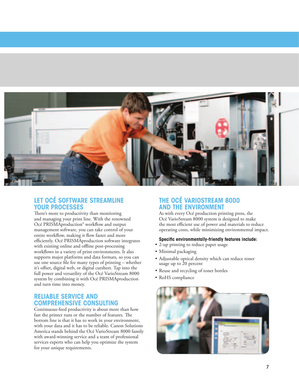

# **LET OCÉ SOFTWARE STREAMLINE YOUR PROCESSES**

There's more to productivity than monitoring and managing your print line. With the renowned Océ PRISMAproduction® workflow and output management software, you can take control of your entire workflow, making it flow faster and more efficiently. Océ PRISMAproduction software integrates with existing online and offline post-processing workflows in a variety of print environments. It also supports major platforms and data formats, so you can use one source file for many types of printing – whether it's offset, digital web, or digital cutsheet. Tap into the full power and versatility of the Océ VarioStream 8000 system by combining it with Océ PRISMAproduction and turn time into money.

# **RELIABLE SERVICE AND COMPREHENSIVE CONSULTING**

Continuous-feed productivity is about more than how fast the printer runs or the number of features. The bottom line is that it has to work in your environment, with your data and it has to be reliable. Canon Solutions America stands behind the Océ VarioStream 8000 family with award-winning service and a team of professional services experts who can help you optimize the system for your unique requirements.

# **THE OCÉ VARIOSTREAM 8000 AND THE ENVIRONMENT**

As with every Océ production printing press, the Océ VarioStream 8000 system is designed to make the most efficient use of power and materials to reduce operating costs, while minimizing environmental impact.

#### **Specific environmentally-friendly features include:**

- 2-up printing to reduce paper usage
- Minimal packaging
- Adjustable optical density which can reduce toner usage up to 20 percent
- Reuse and recycling of toner bottles
- RoHS compliance